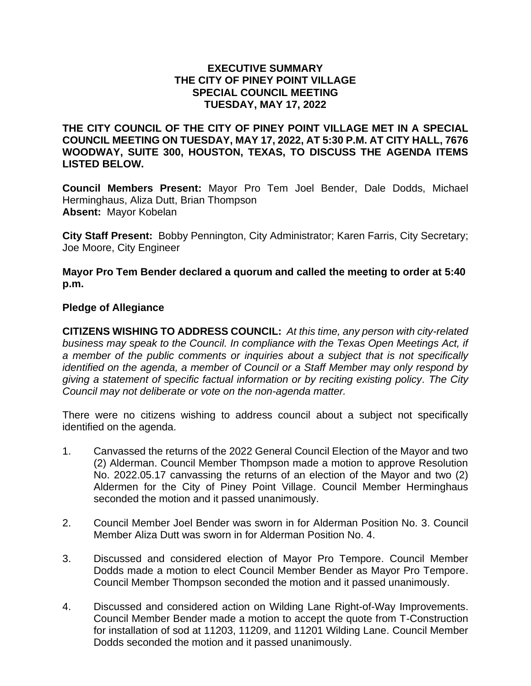## **EXECUTIVE SUMMARY THE CITY OF PINEY POINT VILLAGE SPECIAL COUNCIL MEETING TUESDAY, MAY 17, 2022**

**THE CITY COUNCIL OF THE CITY OF PINEY POINT VILLAGE MET IN A SPECIAL COUNCIL MEETING ON TUESDAY, MAY 17, 2022, AT 5:30 P.M. AT CITY HALL, 7676 WOODWAY, SUITE 300, HOUSTON, TEXAS, TO DISCUSS THE AGENDA ITEMS LISTED BELOW.**

**Council Members Present:** Mayor Pro Tem Joel Bender, Dale Dodds, Michael Herminghaus, Aliza Dutt, Brian Thompson **Absent:** Mayor Kobelan

**City Staff Present:** Bobby Pennington, City Administrator; Karen Farris, City Secretary; Joe Moore, City Engineer

**Mayor Pro Tem Bender declared a quorum and called the meeting to order at 5:40 p.m.**

## **Pledge of Allegiance**

**CITIZENS WISHING TO ADDRESS COUNCIL:** *At this time, any person with city-related business may speak to the Council. In compliance with the Texas Open Meetings Act, if a member of the public comments or inquiries about a subject that is not specifically identified on the agenda, a member of Council or a Staff Member may only respond by giving a statement of specific factual information or by reciting existing policy. The City Council may not deliberate or vote on the non-agenda matter.*

There were no citizens wishing to address council about a subject not specifically identified on the agenda.

- 1. Canvassed the returns of the 2022 General Council Election of the Mayor and two (2) Alderman. Council Member Thompson made a motion to approve Resolution No. 2022.05.17 canvassing the returns of an election of the Mayor and two (2) Aldermen for the City of Piney Point Village. Council Member Herminghaus seconded the motion and it passed unanimously.
- 2. Council Member Joel Bender was sworn in for Alderman Position No. 3. Council Member Aliza Dutt was sworn in for Alderman Position No. 4.
- 3. Discussed and considered election of Mayor Pro Tempore. Council Member Dodds made a motion to elect Council Member Bender as Mayor Pro Tempore. Council Member Thompson seconded the motion and it passed unanimously.
- 4. Discussed and considered action on Wilding Lane Right-of-Way Improvements. Council Member Bender made a motion to accept the quote from T-Construction for installation of sod at 11203, 11209, and 11201 Wilding Lane. Council Member Dodds seconded the motion and it passed unanimously.